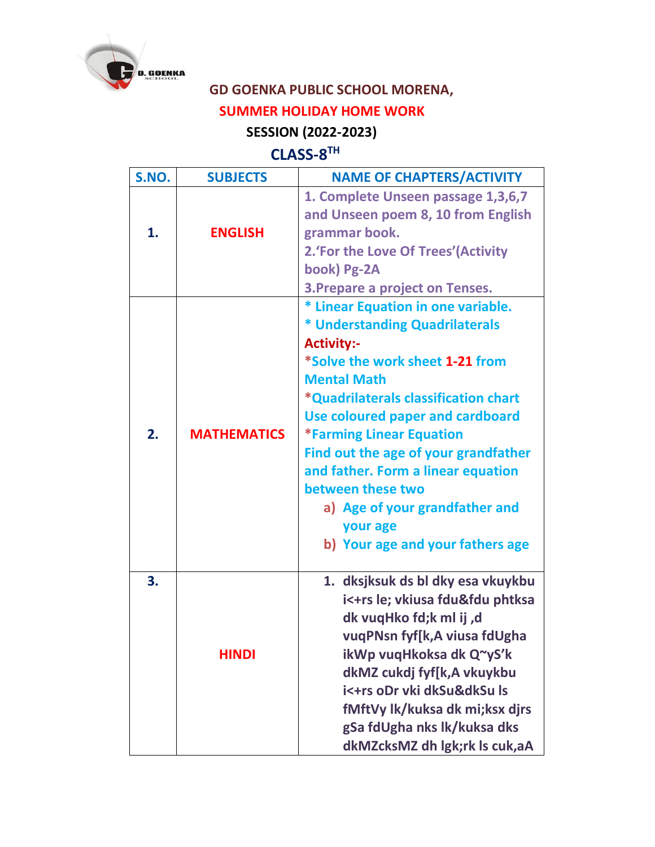

## **GD GOENKA PUBLIC SCHOOL MORENA,**

## **SUMMER HOLIDAY HOME WORK**

## **SESSION (2022-2023)**

## **CLASS-8 TH**

| S.NO. | <b>SUBJECTS</b>    | <b>NAME OF CHAPTERS/ACTIVITY</b>       |
|-------|--------------------|----------------------------------------|
|       |                    | 1. Complete Unseen passage 1,3,6,7     |
|       |                    | and Unseen poem 8, 10 from English     |
| 1.    | <b>ENGLISH</b>     | grammar book.                          |
|       |                    | 2.'For the Love Of Trees'(Activity     |
|       |                    | book) Pg-2A                            |
|       |                    | <b>3. Prepare a project on Tenses.</b> |
|       |                    | * Linear Equation in one variable.     |
|       |                    | * Understanding Quadrilaterals         |
|       |                    | <b>Activity:-</b>                      |
|       |                    | *Solve the work sheet 1-21 from        |
|       |                    | <b>Mental Math</b>                     |
|       |                    | *Quadrilaterals classification chart   |
|       |                    | Use coloured paper and cardboard       |
| 2.    | <b>MATHEMATICS</b> | <b>*Farming Linear Equation</b>        |
|       |                    | Find out the age of your grandfather   |
|       |                    | and father. Form a linear equation     |
|       |                    | between these two                      |
|       |                    | a) Age of your grandfather and         |
|       |                    | your age                               |
|       |                    | b) Your age and your fathers age       |
| 3.    |                    | 1. dksjksuk ds bl dky esa vkuykbu      |
|       |                    | i<+rs le; vkiusa fdu&fdu phtksa        |
|       |                    | dk vuqHko fd;k ml ij,d                 |
|       |                    | vuqPNsn fyf[k,A viusa fdUgha           |
|       | <b>HINDI</b>       | ikWp vuqHkoksa dk Q~yS'k               |
|       |                    | dkMZ cukdj fyf[k,A vkuykbu             |
|       |                    | i<+rs oDr vki dkSu&dkSu ls             |
|       |                    | fMftVy lk/kuksa dk mi;ksx dirs         |
|       |                    | gSa fdUgha nks lk/kuksa dks            |
|       |                    | dkMZcksMZ dh lgk;rk ls cuk,aA          |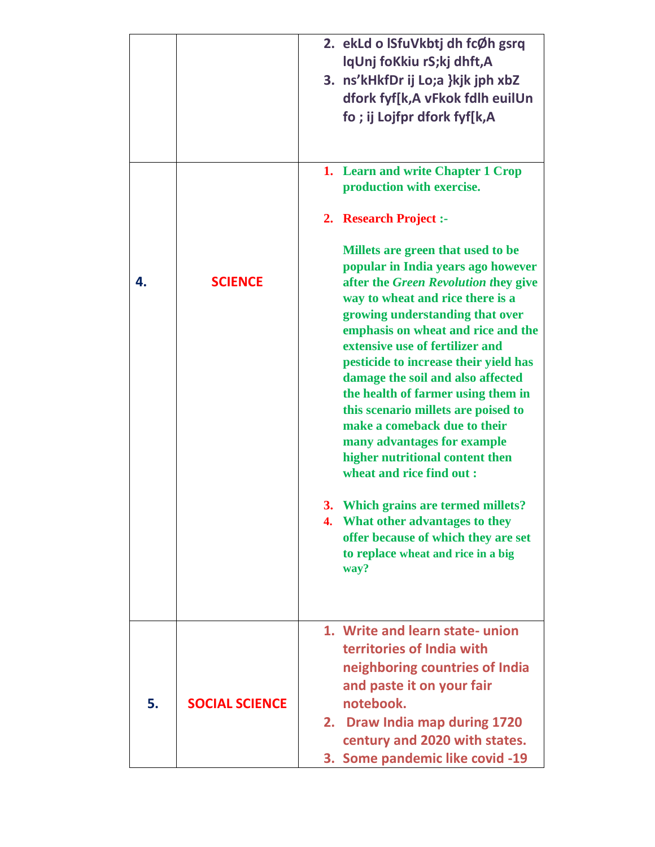|    |                       | 2. ekLd o ISfuVkbtj dh fcØh gsrq<br>lqUnj foKkiu rS;kj dhft,A<br>3. ns'kHkfDr ij Lo;a }kjk jph xbZ<br>dfork fyf[k,A vFkok fdlh euilUn<br>fo; ij Lojfpr dfork fyf[k,A                                                                                                                                                                                                                                                                                                                                                                                      |
|----|-----------------------|-----------------------------------------------------------------------------------------------------------------------------------------------------------------------------------------------------------------------------------------------------------------------------------------------------------------------------------------------------------------------------------------------------------------------------------------------------------------------------------------------------------------------------------------------------------|
|    |                       | 1. Learn and write Chapter 1 Crop<br>production with exercise.                                                                                                                                                                                                                                                                                                                                                                                                                                                                                            |
|    |                       | 2. Research Project :-                                                                                                                                                                                                                                                                                                                                                                                                                                                                                                                                    |
| 4. | <b>SCIENCE</b>        | Millets are green that used to be<br>popular in India years ago however<br>after the Green Revolution they give<br>way to wheat and rice there is a<br>growing understanding that over<br>emphasis on wheat and rice and the<br>extensive use of fertilizer and<br>pesticide to increase their yield has<br>damage the soil and also affected<br>the health of farmer using them in<br>this scenario millets are poised to<br>make a comeback due to their<br>many advantages for example<br>higher nutritional content then<br>wheat and rice find out : |
|    |                       | 3. Which grains are termed millets?<br>4. What other advantages to they<br>offer because of which they are set<br>to replace wheat and rice in a big<br>way?                                                                                                                                                                                                                                                                                                                                                                                              |
|    |                       | 1. Write and learn state-union                                                                                                                                                                                                                                                                                                                                                                                                                                                                                                                            |
| 5. | <b>SOCIAL SCIENCE</b> | territories of India with<br>neighboring countries of India<br>and paste it on your fair<br>notebook.<br>2. Draw India map during 1720                                                                                                                                                                                                                                                                                                                                                                                                                    |
|    |                       | century and 2020 with states.<br>3. Some pandemic like covid -19                                                                                                                                                                                                                                                                                                                                                                                                                                                                                          |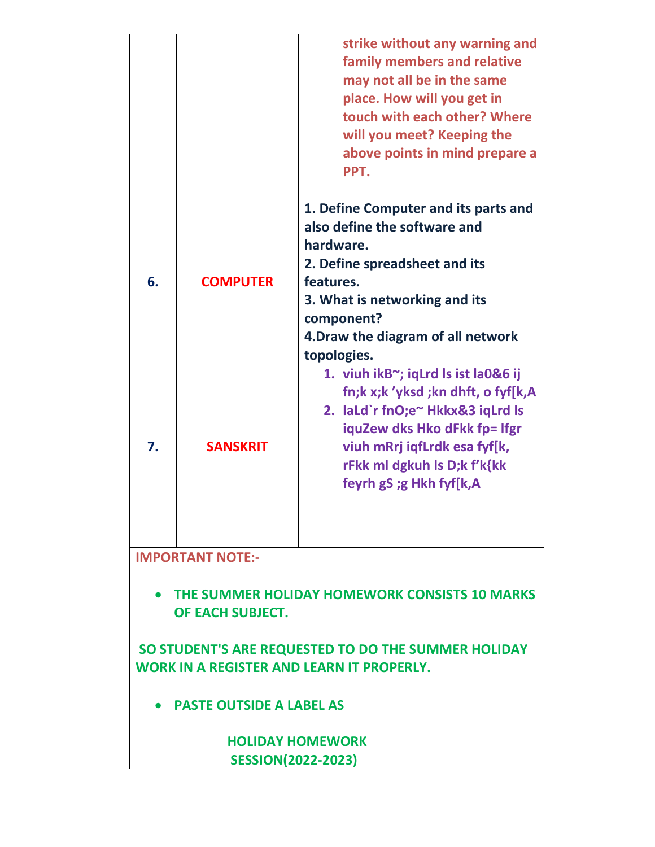|                                                                                                                                                                                                                 |                 | strike without any warning and<br>family members and relative<br>may not all be in the same<br>place. How will you get in<br>touch with each other? Where<br>will you meet? Keeping the<br>above points in mind prepare a<br>PPT.       |  |  |
|-----------------------------------------------------------------------------------------------------------------------------------------------------------------------------------------------------------------|-----------------|-----------------------------------------------------------------------------------------------------------------------------------------------------------------------------------------------------------------------------------------|--|--|
| 6.                                                                                                                                                                                                              | <b>COMPUTER</b> | 1. Define Computer and its parts and<br>also define the software and<br>hardware.<br>2. Define spreadsheet and its<br>features.<br>3. What is networking and its<br>component?<br>4. Draw the diagram of all network<br>topologies.     |  |  |
| 7.                                                                                                                                                                                                              | <b>SANSKRIT</b> | 1. viuh ikB~; iqLrd Is ist la0&6 ij<br>fn;k x;k 'yksd ;kn dhft, o fyf[k,A<br>2. laLd`r fnO;e~ Hkkx&3 iqLrd ls<br>iquZew dks Hko dFkk fp= lfgr<br>viuh mRrj iqfLrdk esa fyf[k,<br>rFkk ml dgkuh ls D;k f'k{kk<br>feyrh gS ;g Hkh fyf[k,A |  |  |
| <b>IMPORTANT NOTE:-</b>                                                                                                                                                                                         |                 |                                                                                                                                                                                                                                         |  |  |
| THE SUMMER HOLIDAY HOMEWORK CONSISTS 10 MARKS<br>OF EACH SUBJECT.<br>SO STUDENT'S ARE REQUESTED TO DO THE SUMMER HOLIDAY<br><b>WORK IN A REGISTER AND LEARN IT PROPERLY.</b><br><b>PASTE OUTSIDE A LABEL AS</b> |                 |                                                                                                                                                                                                                                         |  |  |
|                                                                                                                                                                                                                 |                 |                                                                                                                                                                                                                                         |  |  |
| <b>HOLIDAY HOMEWORK</b><br><b>SESSION(2022-2023)</b>                                                                                                                                                            |                 |                                                                                                                                                                                                                                         |  |  |